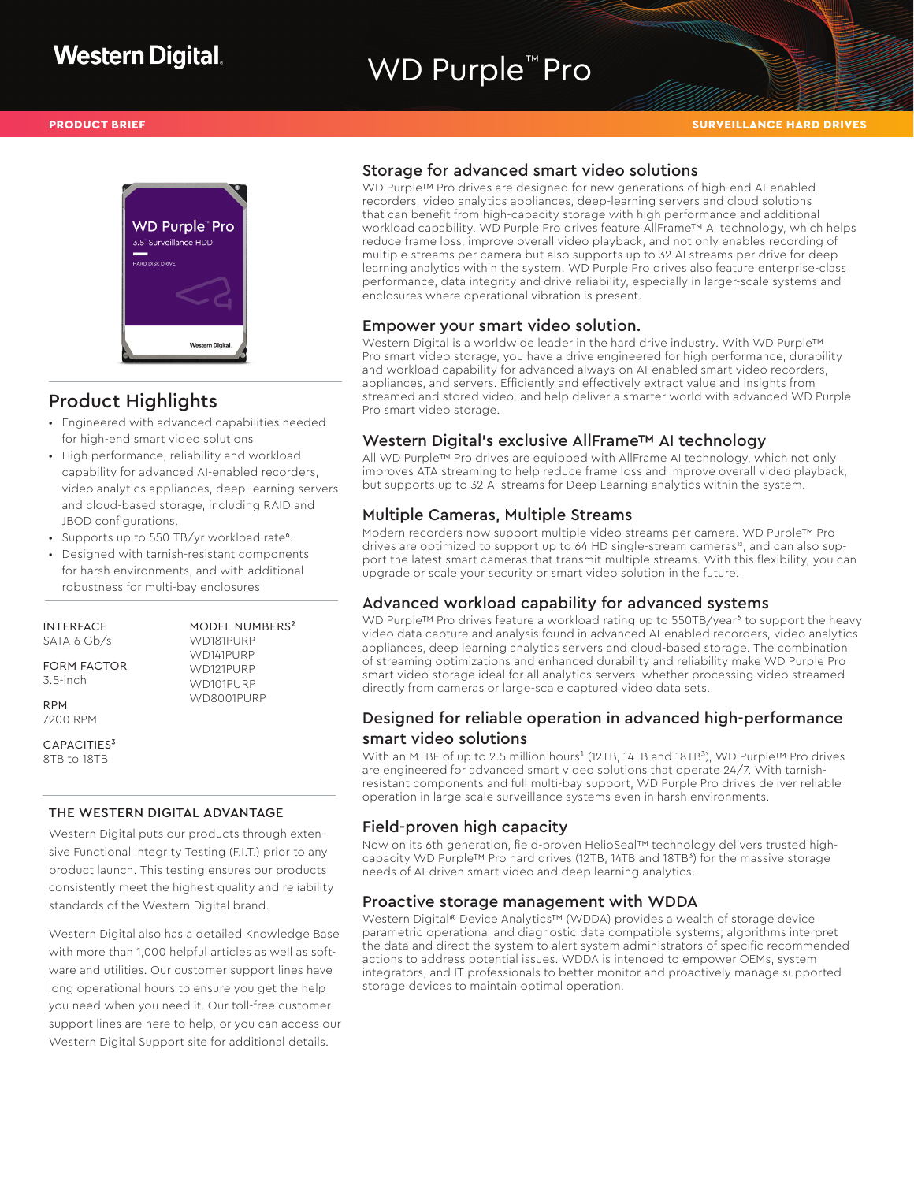# WD Purple<sup>™</sup> Pro



### Product Highlights

- Engineered with advanced capabilities needed for high-end smart video solutions
- High performance, reliability and workload capability for advanced AI-enabled recorders, video analytics appliances, deep-learning servers and cloud-based storage, including RAID and JBOD configurations.
- Supports up to 550 TB/yr workload rate<sup>6</sup>.
- Designed with tarnish-resistant components for harsh environments, and with additional robustness for multi-bay enclosures

INTERFACE SATA 6 Gb/s

FORM FACTOR 3.5-inch

RPM 7200 RPM

CAPACITIES<sup>3</sup> 8TB to 18TB

#### THE WESTERN DIGITAL ADVANTAGE

Western Digital puts our products through extensive Functional Integrity Testing (F.I.T.) prior to any product launch. This testing ensures our products consistently meet the highest quality and reliability standards of the Western Digital brand.

Western Digital also has a detailed Knowledge Base with more than 1,000 helpful articles as well as software and utilities. Our customer support lines have long operational hours to ensure you get the help you need when you need it. Our toll-free customer support lines are here to help, or you can access our Western Digital Support site for additional details.

#### Storage for advanced smart video solutions

WD Purple™ Pro drives are designed for new generations of high-end AI-enabled recorders, video analytics appliances, deep-learning servers and cloud solutions that can benefit from high-capacity storage with high performance and additional workload capability. WD Purple Pro drives feature AllFrame™ AI technology, which helps reduce frame loss, improve overall video playback, and not only enables recording of multiple streams per camera but also supports up to 32 AI streams per drive for deep learning analytics within the system. WD Purple Pro drives also feature enterprise-class performance, data integrity and drive reliability, especially in larger-scale systems and enclosures where operational vibration is present.

#### Empower your smart video solution.

Western Digital is a worldwide leader in the hard drive industry. With WD Purple™ Pro smart video storage, you have a drive engineered for high performance, durability and workload capability for advanced always-on AI-enabled smart video recorders, appliances, and servers. Efficiently and effectively extract value and insights from streamed and stored video, and help deliver a smarter world with advanced WD Purple Pro smart video storage.

#### Western Digital's exclusive AllFrame™ AI technology

All WD Purple™ Pro drives are equipped with AllFrame AI technology, which not only improves ATA streaming to help reduce frame loss and improve overall video playback, but supports up to 32 AI streams for Deep Learning analytics within the system.

#### Multiple Cameras, Multiple Streams

Modern recorders now support multiple video streams per camera. WD Purple™ Pro drives are optimized to support up to  $64$  HD single-stream cameras<sup>12</sup>, and can also support the latest smart cameras that transmit multiple streams. With this flexibility, you can upgrade or scale your security or smart video solution in the future.

#### Advanced workload capability for advanced systems

WD Purple™ Pro drives feature a workload rating up to 550TB/year<sup>6</sup> to support the heavy video data capture and analysis found in advanced AI-enabled recorders, video analytics appliances, deep learning analytics servers and cloud-based storage. The combination of streaming optimizations and enhanced durability and reliability make WD Purple Pro smart video storage ideal for all analytics servers, whether processing video streamed directly from cameras or large-scale captured video data sets.

### Designed for reliable operation in advanced high-performance smart video solutions

With an MTBF of up to 2.5 million hours<sup>1</sup> (12TB, 14TB and 18TB<sup>3</sup>), WD Purple™ Pro drives are engineered for advanced smart video solutions that operate 24/7. With tarnishresistant components and full multi-bay support, WD Purple Pro drives deliver reliable operation in large scale surveillance systems even in harsh environments.

#### Field-proven high capacity

Now on its 6th generation, field-proven HelioSeal™ technology delivers trusted highcapacity WD Purple™ Pro hard drives (12TB, 14TB and 18TB<sup>3</sup>) for the massive storage needs of AI-driven smart video and deep learning analytics.

#### Proactive storage management with WDDA

Western Digital® Device Analytics™ (WDDA) provides a wealth of storage device parametric operational and diagnostic data compatible systems; algorithms interpret the data and direct the system to alert system administrators of specific recommended actions to address potential issues. WDDA is intended to empower OEMs, system integrators, and IT professionals to better monitor and proactively manage supported storage devices to maintain optimal operation.

MODEL NUMBERS² WD181PURP WD141PURP WD121PURP WD101PURP WD8001PURP